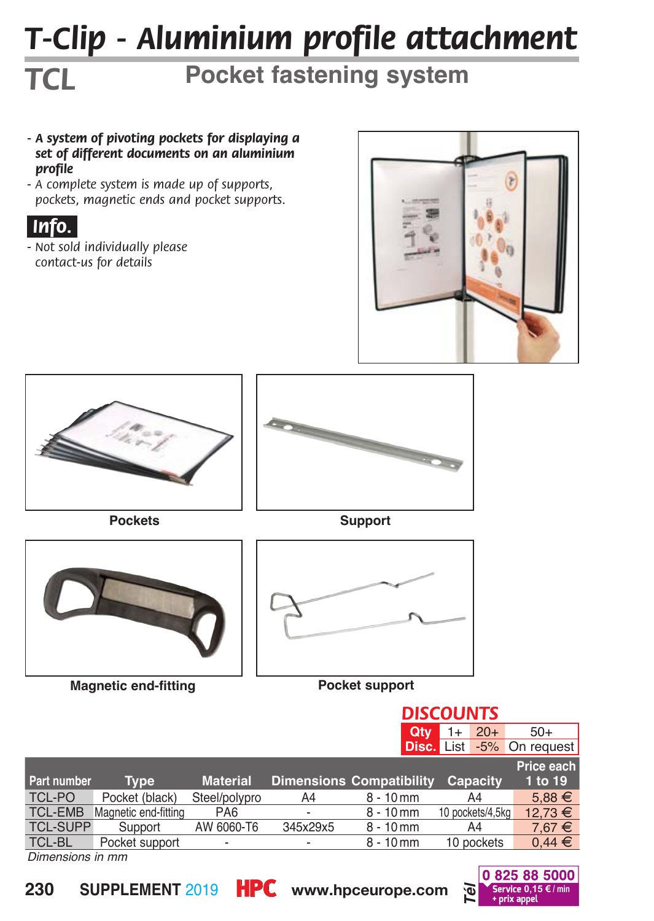# *T-Clip - Aluminium profile attachment*

## **Pocket fastening system**

- *A system of pivoting pockets for displaying a set of different documents on an aluminium profile*
- *A complete system is made up of supports, pockets, magnetic ends and pocket supports.*

#### *.Info..*

*TCL*

*- Not sold individually please contact-us for details*





|                  |                      |                 |                          | <b>DISCOUNTS</b>                |                                  |            |
|------------------|----------------------|-----------------|--------------------------|---------------------------------|----------------------------------|------------|
|                  |                      |                 |                          | Qtv                             | $20+$<br>1+                      | $50+$      |
|                  |                      |                 |                          |                                 | <b>Disc.</b> List -5% On request |            |
|                  |                      |                 |                          |                                 |                                  | Price each |
| Part number      | <b>Type</b>          | <b>Material</b> |                          | <b>Dimensions Compatibility</b> | Capacity                         | 1 to 19    |
| TCL-PO           | Pocket (black)       | Steel/polypro   | A4                       | $8 - 10$ mm                     | A4                               | $5.88 \in$ |
| <b>TCL-EMB</b>   | Magnetic end-fitting | PA <sub>6</sub> |                          | $8 - 10$ mm                     | 10 pockets/4.5kg                 | 12,73 €    |
| <b>TCL-SUPP</b>  | Support              | AW 6060-T6      | 345x29x5                 | $8 - 10$ mm                     | A4                               | $7.67 \in$ |
| TCL-BL           | Pocket support       |                 | $\overline{\phantom{a}}$ | $8 - 10$ mm                     | 10 pockets                       | $0.44 \in$ |
| Dimensions in mm |                      |                 |                          |                                 |                                  |            |

*Dimensions in mm*